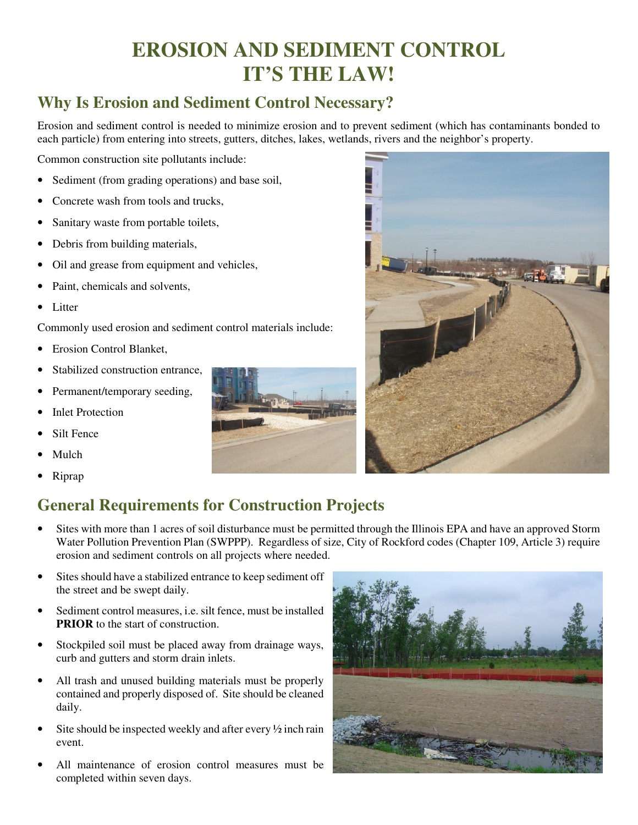# **EROSION AND SEDIMENT CONTROL IT'S THE LAW!**

### **Why Is Erosion and Sediment Control Necessary?**

Erosion and sediment control is needed to minimize erosion and to prevent sediment (which has contaminants bonded to each particle) from entering into streets, gutters, ditches, lakes, wetlands, rivers and the neighbor's property.

Common construction site pollutants include:

- Sediment (from grading operations) and base soil,
- Concrete wash from tools and trucks,
- Sanitary waste from portable toilets,
- Debris from building materials,
- Oil and grease from equipment and vehicles,
- Paint, chemicals and solvents.
- Litter

Commonly used erosion and sediment control materials include:

- Erosion Control Blanket,
- Stabilized construction entrance,
- Permanent/temporary seeding,
- **Inlet Protection**
- Silt Fence
- Mulch
- Riprap





### **General Requirements for Construction Projects**

- Sites with more than 1 acres of soil disturbance must be permitted through the Illinois EPA and have an approved Storm Water Pollution Prevention Plan (SWPPP). Regardless of size, City of Rockford codes (Chapter 109, Article 3) require erosion and sediment controls on all projects where needed.
- Sites should have a stabilized entrance to keep sediment off the street and be swept daily.
- Sediment control measures, *i.e.* silt fence, must be installed **PRIOR** to the start of construction.
- Stockpiled soil must be placed away from drainage ways, curb and gutters and storm drain inlets.
- All trash and unused building materials must be properly contained and properly disposed of. Site should be cleaned daily.
- Site should be inspected weekly and after every  $\frac{1}{2}$  inch rain event.
- All maintenance of erosion control measures must be completed within seven days.